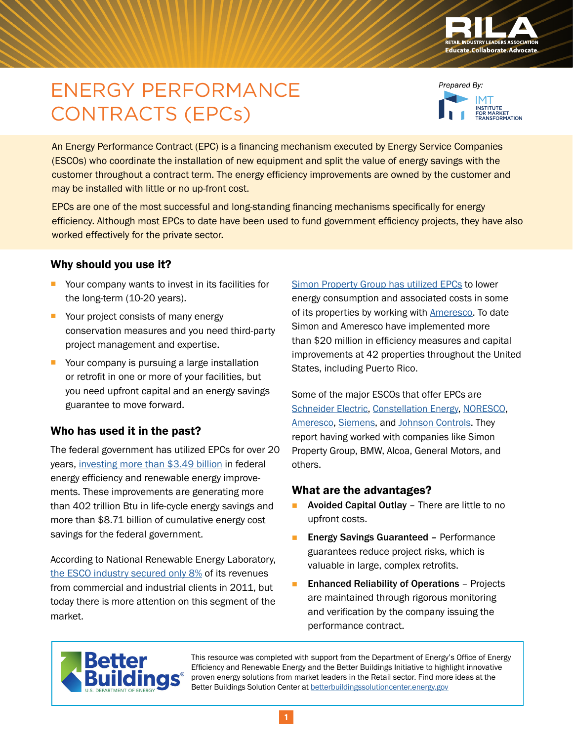

# ENERGY PERFORMANCE CONTRACTS (EPCs)

Prepared By: .<br>INSTITUTE<br>FOR MARKET<br>TRANSFORMATION

An Energy Performance Contract (EPC) is a financing mechanism executed by Energy Service Companies (ESCOs) who coordinate the installation of new equipment and split the value of energy savings with the customer throughout a contract term. The energy efficiency improvements are owned by the customer and may be installed with little or no up-front cost.

EPCs are one of the most successful and long-standing financing mechanisms specifically for energy efficiency. Although most EPCs to date have been used to fund government efficiency projects, they have also worked effectively for the private sector.

### Why should you use it?

- Your company wants to invest in its facilities for the long-term (10-20 years).
- Your project consists of many energy conservation measures and you need third-party project management and expertise.
- Your company is pursuing a large installation or retrofit in one or more of your facilities, but you need upfront capital and an energy savings guarantee to move forward.

## Who has used it in the past?

The federal government has utilized EPCs for over 20 years, [investing more than \\$3.49 billion](http://energy.gov/sites/prod/files/2015/06/f23/faqs_about_espcs.pdf) in federal energy efficiency and renewable energy improvements. These improvements are generating more than 402 trillion Btu in life-cycle energy savings and more than \$8.71 billion of cumulative energy cost savings for the federal government.

According to National Renewable Energy Laboratory, [the ESCO industry secured only 8%](http://aceee.org/files/proceedings/2014/data/papers/3-319.pdf) of its revenues from commercial and industrial clients in 2011, but today there is more attention on this segment of the market.

[Simon Property Group has utilized EPCs](http://www.ameresco.com/sites/default/files/simon_properties_0.pdf) to lower energy consumption and associated costs in some of its properties by working with **[Ameresco](http://www.ameresco.com/solution/performance-contracting)**. To date Simon and Ameresco have implemented more than \$20 million in efficiency measures and capital improvements at 42 properties throughout the United States, including Puerto Rico.

Some of the major ESCOs that offer EPCs are [Schneider Electric](http://www.schneider-electric.com/solutions/ww/en/sol/25862881-guaranteed-building-performance-and-energy-efficiency-through-energy-performance-contracting-epc), [Constellation Energy,](http://www.constellation.com/solutions/for-your-commercial-business/energy-management---sustainability-services/energy-efficiency.html) [NORESCO](http://www.noresco.com/energy-services/en/us/solutions/Energy-Efficiency-Retrofits-Modernization/Performance-Contracting/), [Ameresco](http://www.ameresco.com/solution/performance-contracting), [Siemens,](http://www.siemens.com/about/sustainability/en/environmental-portfolio/products-solutions/building-technology/energy-performance-contracting.htm) and [Johnson Controls](http://www.johnsoncontrols.com/buildings/services-and-support/energy-and-efficiency-services/energy-performance-contracting). They report having worked with companies like Simon Property Group, BMW, Alcoa, General Motors, and others.

## What are the advantages?

- **Avoided Capital Outlay** There are little to no upfront costs.
- **Energy Savings Guaranteed Performance** guarantees reduce project risks, which is valuable in large, complex retrofits.
- **Enhanced Reliability of Operations** Projects are maintained through rigorous monitoring and verification by the company issuing the performance contract.



This resource was completed with support from the Department of Energy's Office of Energy Efficiency and Renewable Energy and the Better Buildings Initiative to highlight innovative proven energy solutions from market leaders in the Retail sector. Find more ideas at the Better Buildings Solution Center at [betterbuildingssolutioncenter.energy.gov](http://betterbuildingssolutioncenter.energy.gov)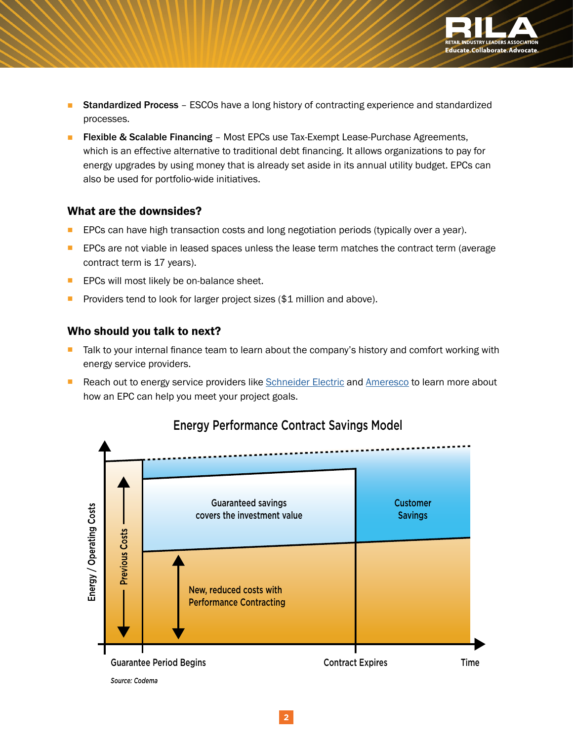

- **Standardized Process** ESCOs have a long history of contracting experience and standardized processes.
- **Flexible & Scalable Financing** Most EPCs use Tax-Exempt Lease-Purchase Agreements, which is an effective alternative to traditional debt financing. It allows organizations to pay for energy upgrades by using money that is already set aside in its annual utility budget. EPCs can also be used for portfolio-wide initiatives.

#### What are the downsides?

- EPCs can have high transaction costs and long negotiation periods (typically over a year).
- **EPCs are not viable in leased spaces unless the lease term matches the contract term (average)** contract term is 17 years).
- **EPCs will most likely be on-balance sheet.**
- Providers tend to look for larger project sizes (\$1 million and above).

#### Who should you talk to next?

- Talk to your internal finance team to learn about the company's history and comfort working with energy service providers.
- Reach out to energy service providers like [Schneider Electric](http://www.schneider-electric.com/solutions/ww/en/sol/25862881-guaranteed-building-performance-and-energy-efficiency-through-energy-performance-contracting-epc) and [Ameresco](http://www.ameresco.com/solution/performance-contracting) to learn more about how an EPC can help you meet your project goals.



## Energy Performance Contract Savings Model